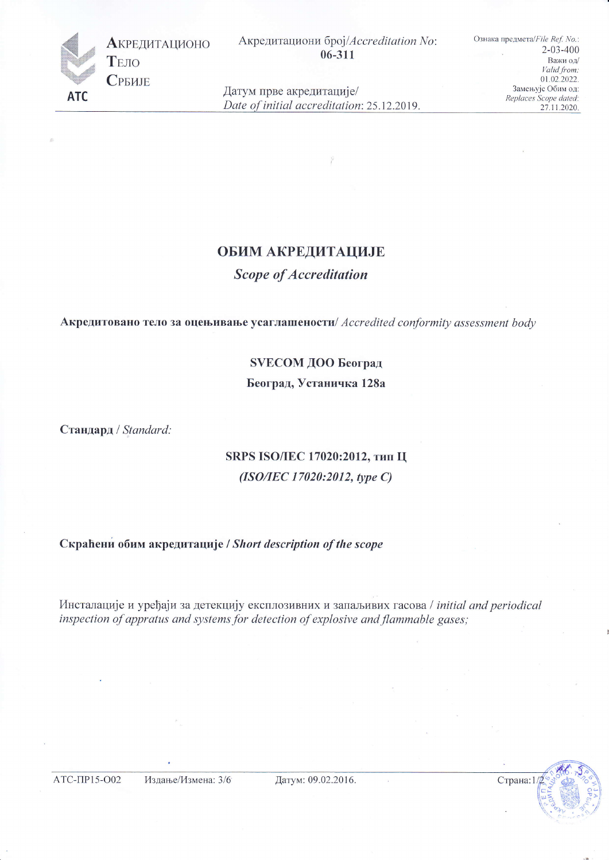

Акредитациони број/Accreditation No:  $06 - 311$ 

Ознака предмета/File Ref. No.:  $2 - 03 - 400$ Важи од/ Valid from: 01.02.2022. Замењује Обим од: Replaces Scope dated: 27.11.2020.

Датум прве акредитације/ Date of initial accreditation: 25.12.2019.

## **ОБИМ АКРЕДИТАЦИЈЕ**

**Scope of Accreditation** 

Акредитовано тело за оцењивање усаглашености/ Accredited conformity assessment body

#### SVECOM ДОО Београд

Београд, Устаничка 128а

Стандард / Standard:

# SRPS ISO/IEC 17020:2012, тип Ц  $(ISO/IEC 17020:2012, type C)$

### Скраћени обим акредитације / Short description of the scope

Инсталације и уређаји за детекцију експлозивних и запаљивих гасова / initial and periodical inspection of appratus and systems for detection of explosive and flammable gases;